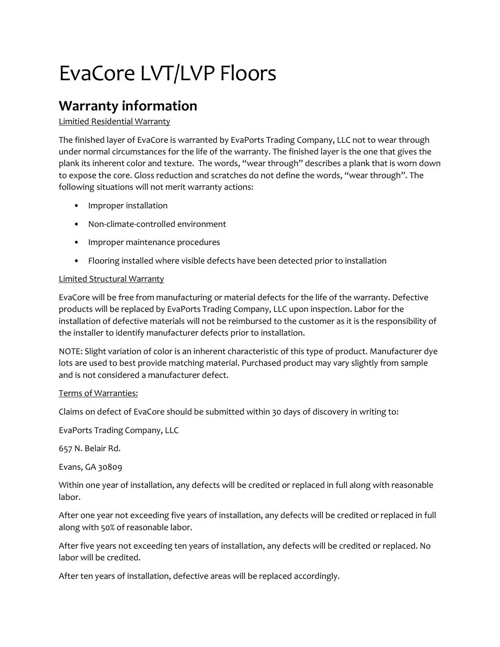## EvaCore LVT/LVP Floors

### **Warranty information**

### Limitied Residential Warranty

The finished layer of EvaCore is warranted by EvaPorts Trading Company, LLC not to wear through under normal circumstances for the life of the warranty. The finished layer is the one that gives the plank its inherent color and texture. The words, "wear through" describes a plank that is worn down to expose the core. Gloss reduction and scratches do not define the words, "wear through". The following situations will not merit warranty actions:

- Improper installation
- Non-climate-controlled environment
- Improper maintenance procedures
- Flooring installed where visible defects have been detected prior to installation

### Limited Structural Warranty

EvaCore will be free from manufacturing or material defects for the life of the warranty. Defective products will be replaced by EvaPorts Trading Company, LLC upon inspection. Labor for the installation of defective materials will not be reimbursed to the customer as it is the responsibility of the installer to identify manufacturer defects prior to installation.

NOTE: Slight variation of color is an inherent characteristic of this type of product. Manufacturer dye lots are used to best provide matching material. Purchased product may vary slightly from sample and is not considered a manufacturer defect.

### Terms of Warranties:

Claims on defect of EvaCore should be submitted within 30 days of discovery in writing to:

EvaPorts Trading Company, LLC

657 N. Belair Rd.

Evans, GA 30809

Within one year of installation, any defects will be credited or replaced in full along with reasonable labor.

After one year not exceeding five years of installation, any defects will be credited or replaced in full along with 50% of reasonable labor.

After five years not exceeding ten years of installation, any defects will be credited or replaced. No labor will be credited.

After ten years of installation, defective areas will be replaced accordingly.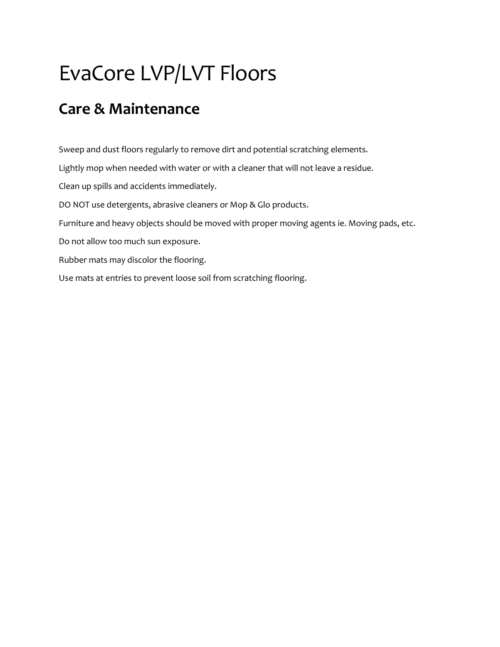## EvaCore LVP/LVT Floors

### **Care & Maintenance**

Sweep and dust floors regularly to remove dirt and potential scratching elements. Lightly mop when needed with water or with a cleaner that will not leave a residue. Clean up spills and accidents immediately. DO NOT use detergents, abrasive cleaners or Mop & Glo products. Furniture and heavy objects should be moved with proper moving agents ie. Moving pads, etc. Do not allow too much sun exposure. Rubber mats may discolor the flooring.

Use mats at entries to prevent loose soil from scratching flooring.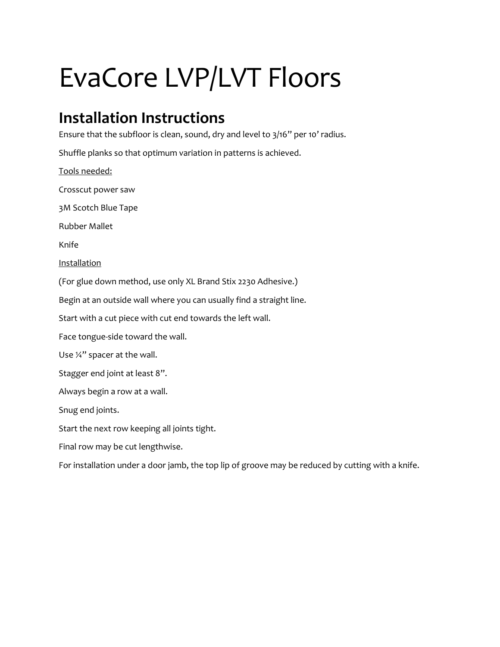# EvaCore LVP/LVT Floors

## **Installation Instructions**

Ensure that the subfloor is clean, sound, dry and level to 3/16" per 10' radius.

Shuffle planks so that optimum variation in patterns is achieved.

Tools needed: Crosscut power saw 3M Scotch Blue Tape Rubber Mallet Knife Installation (For glue down method, use only XL Brand Stix 2230 Adhesive.) Begin at an outside wall where you can usually find a straight line. Start with a cut piece with cut end towards the left wall. Face tongue-side toward the wall. Use ¼" spacer at the wall. Stagger end joint at least 8". Always begin a row at a wall. Snug end joints. Start the next row keeping all joints tight. Final row may be cut lengthwise. For installation under a door jamb, the top lip of groove may be reduced by cutting with a knife.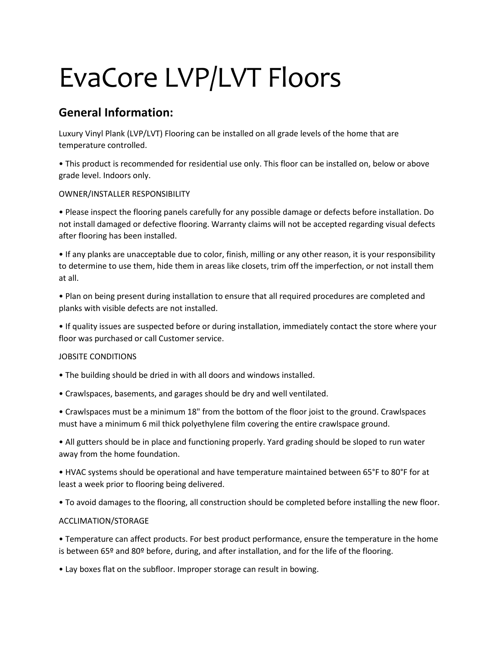# EvaCore LVP/LVT Floors

### **General Information:**

Luxury Vinyl Plank (LVP/LVT) Flooring can be installed on all grade levels of the home that are temperature controlled.

• This product is recommended for residential use only. This floor can be installed on, below or above grade level. Indoors only.

OWNER/INSTALLER RESPONSIBILITY

• Please inspect the flooring panels carefully for any possible damage or defects before installation. Do not install damaged or defective flooring. Warranty claims will not be accepted regarding visual defects after flooring has been installed.

• If any planks are unacceptable due to color, finish, milling or any other reason, it is your responsibility to determine to use them, hide them in areas like closets, trim off the imperfection, or not install them at all.

• Plan on being present during installation to ensure that all required procedures are completed and planks with visible defects are not installed.

• If quality issues are suspected before or during installation, immediately contact the store where your floor was purchased or call Customer service.

### JOBSITE CONDITIONS

- The building should be dried in with all doors and windows installed.
- Crawlspaces, basements, and garages should be dry and well ventilated.

• Crawlspaces must be a minimum 18" from the bottom of the floor joist to the ground. Crawlspaces must have a minimum 6 mil thick polyethylene film covering the entire crawlspace ground.

• All gutters should be in place and functioning properly. Yard grading should be sloped to run water away from the home foundation.

• HVAC systems should be operational and have temperature maintained between 65°F to 80°F for at least a week prior to flooring being delivered.

• To avoid damages to the flooring, all construction should be completed before installing the new floor.

### ACCLIMATION/STORAGE

• Temperature can affect products. For best product performance, ensure the temperature in the home is between 65º and 80º before, during, and after installation, and for the life of the flooring.

• Lay boxes flat on the subfloor. Improper storage can result in bowing.